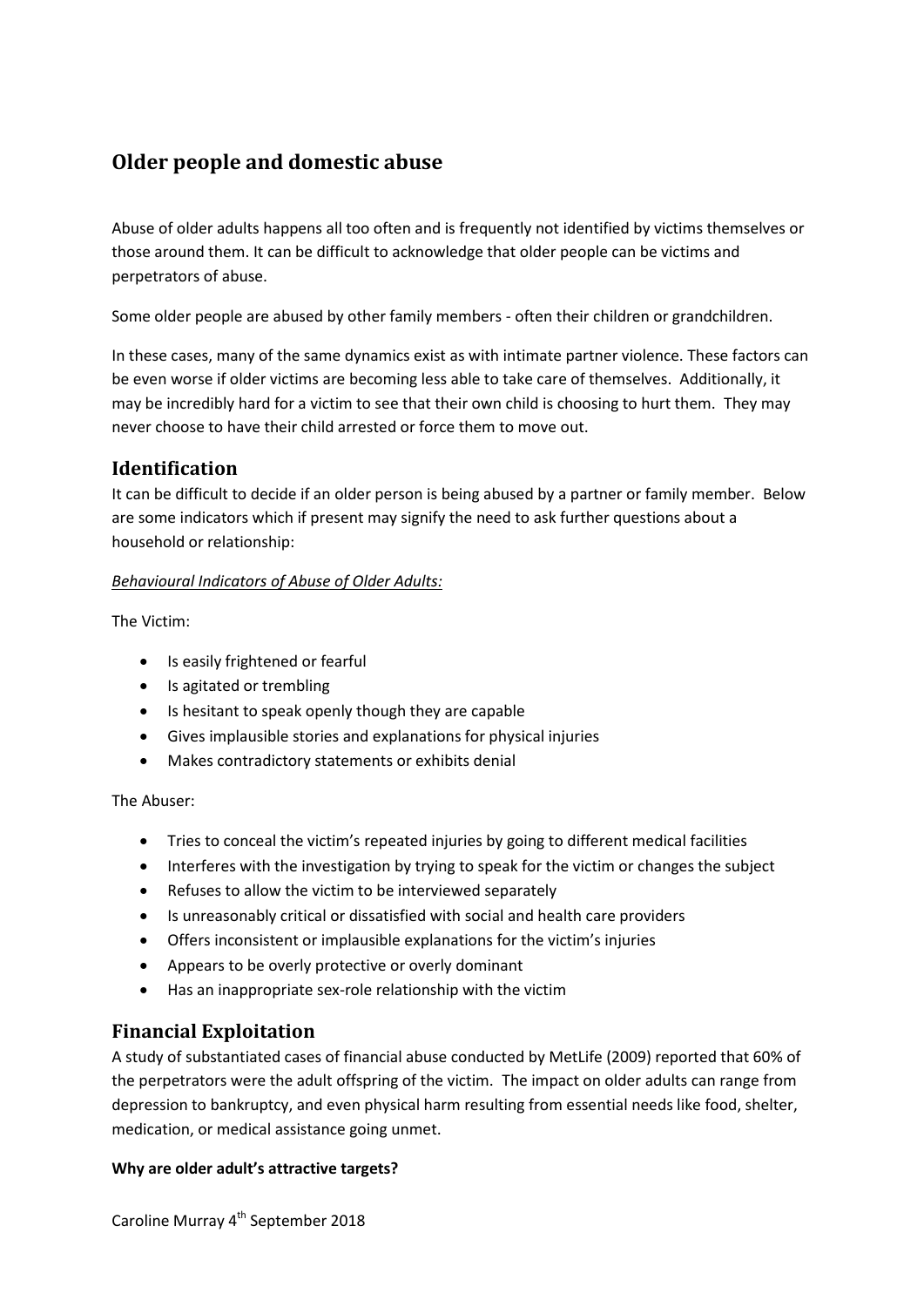# **Older people and domestic abuse**

Abuse of older adults happens all too often and is frequently not identified by victims themselves or those around them. It can be difficult to acknowledge that older people can be victims and perpetrators of abuse.

Some older people are abused by other family members - often their children or grandchildren.

In these cases, many of the same dynamics exist as with intimate partner violence. These factors can be even worse if older victims are becoming less able to take care of themselves. Additionally, it may be incredibly hard for a victim to see that their own child is choosing to hurt them. They may never choose to have their child arrested or force them to move out.

# **Identification**

It can be difficult to decide if an older person is being abused by a partner or family member. Below are some indicators which if present may signify the need to ask further questions about a household or relationship:

# *Behavioural Indicators of Abuse of Older Adults:*

The Victim:

- Is easily frightened or fearful
- Is agitated or trembling
- Is hesitant to speak openly though they are capable
- Gives implausible stories and explanations for physical injuries
- Makes contradictory statements or exhibits denial

The Abuser:

- Tries to conceal the victim's repeated injuries by going to different medical facilities
- Interferes with the investigation by trying to speak for the victim or changes the subject
- Refuses to allow the victim to be interviewed separately
- Is unreasonably critical or dissatisfied with social and health care providers
- Offers inconsistent or implausible explanations for the victim's injuries
- Appears to be overly protective or overly dominant
- Has an inappropriate sex-role relationship with the victim

# **Financial Exploitation**

A study of substantiated cases of financial abuse conducted by MetLife (2009) reported that 60% of the perpetrators were the adult offspring of the victim. The impact on older adults can range from depression to bankruptcy, and even physical harm resulting from essential needs like food, shelter, medication, or medical assistance going unmet.

# **Why are older adult's attractive targets?**

Caroline Murray 4<sup>th</sup> September 2018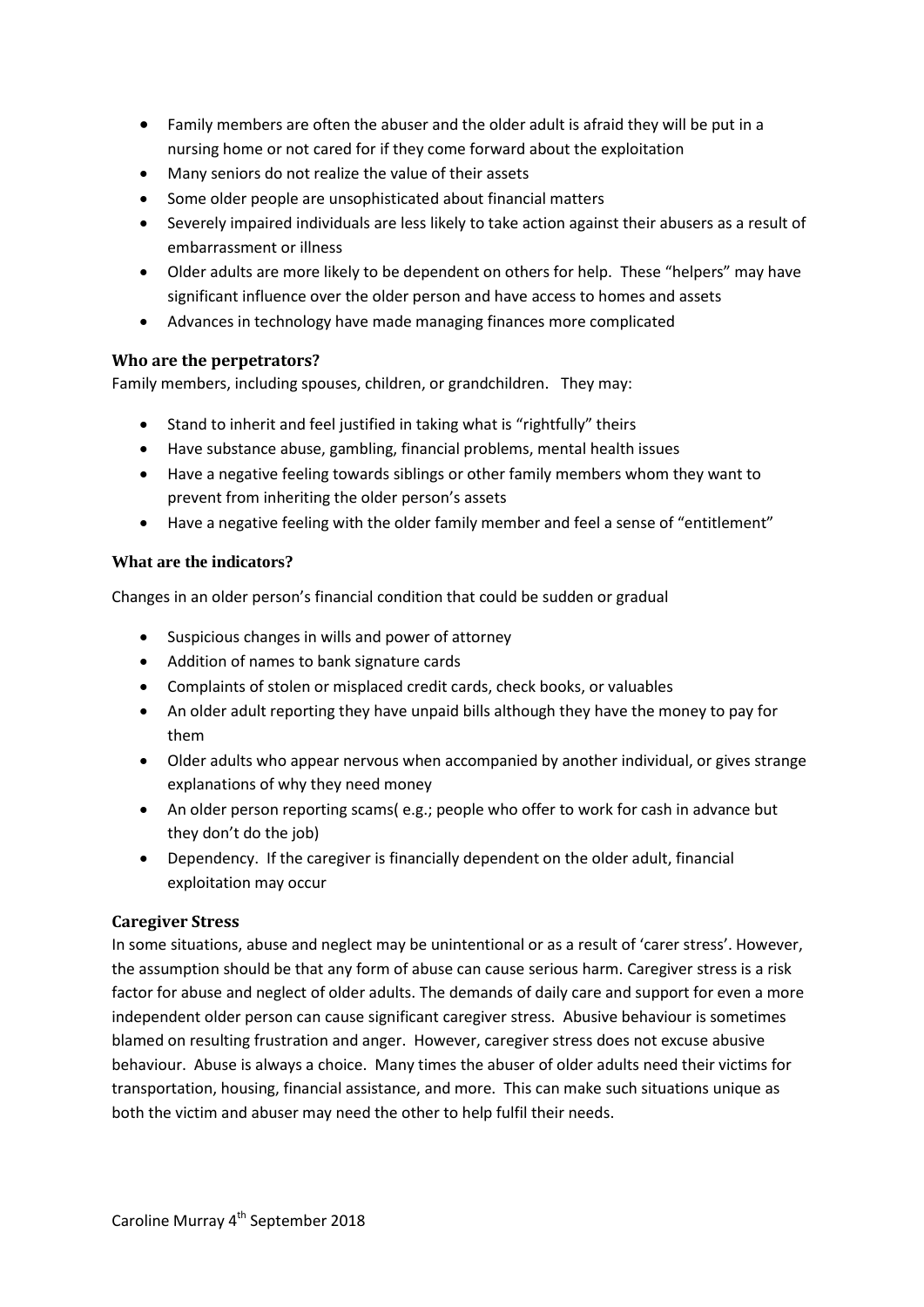- Family members are often the abuser and the older adult is afraid they will be put in a nursing home or not cared for if they come forward about the exploitation
- Many seniors do not realize the value of their assets
- Some older people are unsophisticated about financial matters
- Severely impaired individuals are less likely to take action against their abusers as a result of embarrassment or illness
- Older adults are more likely to be dependent on others for help. These "helpers" may have significant influence over the older person and have access to homes and assets
- Advances in technology have made managing finances more complicated

# **Who are the perpetrators?**

Family members, including spouses, children, or grandchildren. They may:

- Stand to inherit and feel justified in taking what is "rightfully" theirs
- Have substance abuse, gambling, financial problems, mental health issues
- Have a negative feeling towards siblings or other family members whom they want to prevent from inheriting the older person's assets
- Have a negative feeling with the older family member and feel a sense of "entitlement"

#### **What are the indicators?**

Changes in an older person's financial condition that could be sudden or gradual

- Suspicious changes in wills and power of attorney
- Addition of names to bank signature cards
- Complaints of stolen or misplaced credit cards, check books, or valuables
- An older adult reporting they have unpaid bills although they have the money to pay for them
- Older adults who appear nervous when accompanied by another individual, or gives strange explanations of why they need money
- An older person reporting scams( e.g.; people who offer to work for cash in advance but they don't do the job)
- Dependency. If the caregiver is financially dependent on the older adult, financial exploitation may occur

# **Caregiver Stress**

In some situations, abuse and neglect may be unintentional or as a result of 'carer stress'. However, the assumption should be that any form of abuse can cause serious harm. Caregiver stress is a risk factor for abuse and neglect of older adults. The demands of daily care and support for even a more independent older person can cause significant caregiver stress. Abusive behaviour is sometimes blamed on resulting frustration and anger. However, caregiver stress does not excuse abusive behaviour. Abuse is always a choice. Many times the abuser of older adults need their victims for transportation, housing, financial assistance, and more. This can make such situations unique as both the victim and abuser may need the other to help fulfil their needs.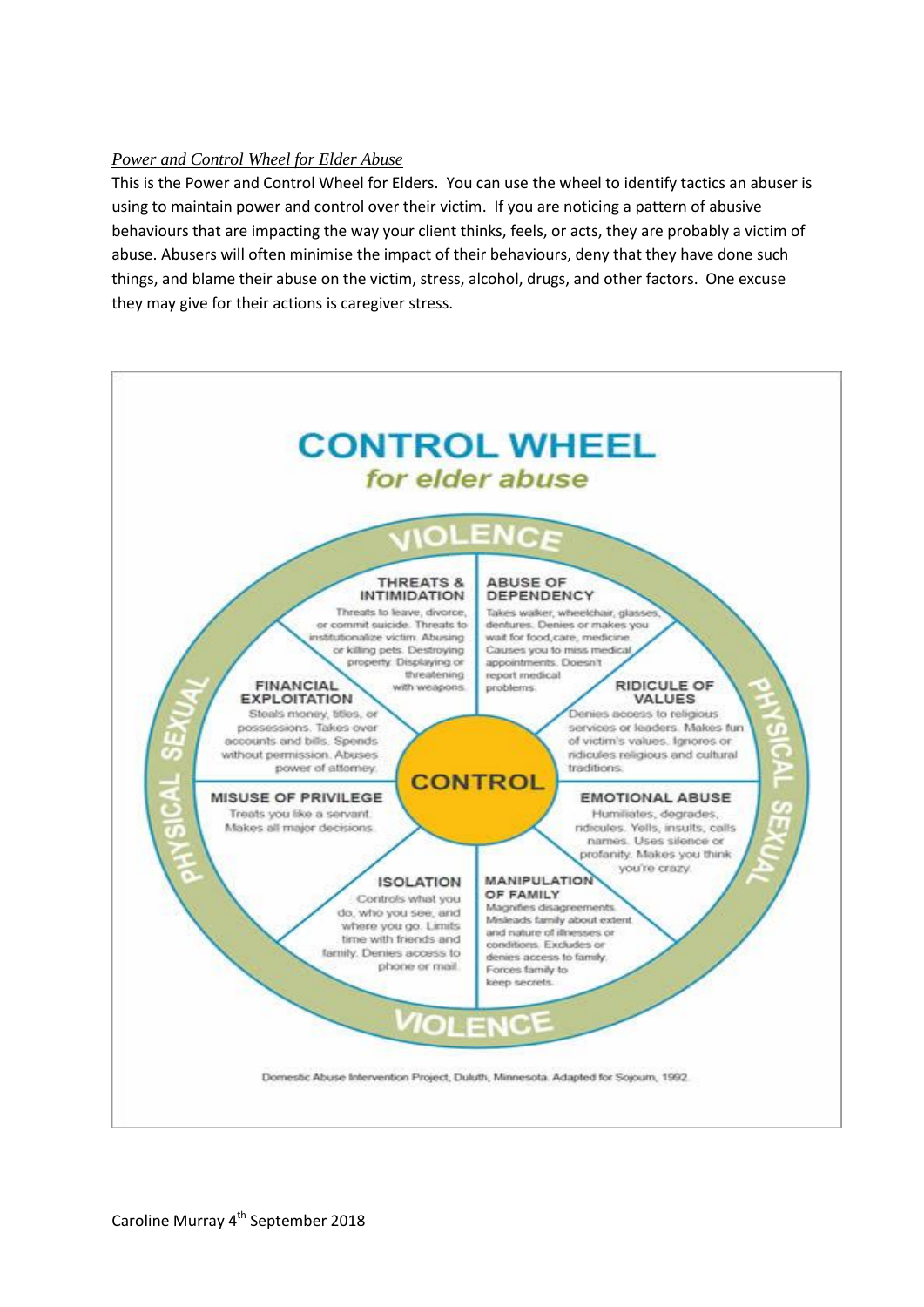# *Power and Control Wheel for Elder Abuse*

This is the Power and Control Wheel for Elders. You can use the wheel to identify tactics an abuser is using to maintain power and control over their victim. If you are noticing a pattern of abusive behaviours that are impacting the way your client thinks, feels, or acts, they are probably a victim of abuse. Abusers will often minimise the impact of their behaviours, deny that they have done such things, and blame their abuse on the victim, stress, alcohol, drugs, and other factors. One excuse they may give for their actions is caregiver stress.

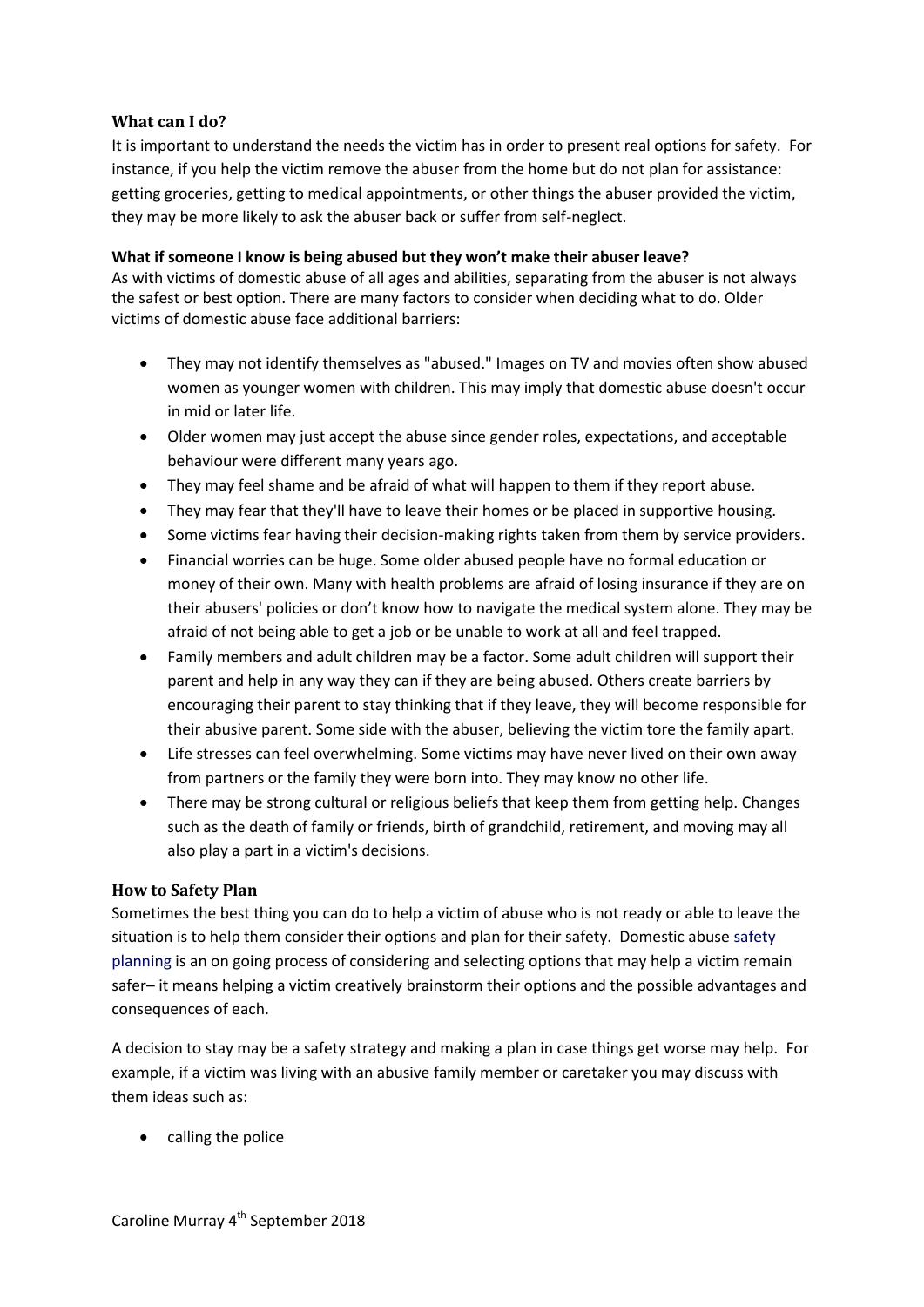# **What can I do?**

It is important to understand the needs the victim has in order to present real options for safety. For instance, if you help the victim remove the abuser from the home but do not plan for assistance: getting groceries, getting to medical appointments, or other things the abuser provided the victim, they may be more likely to ask the abuser back or suffer from self-neglect.

#### **What if someone I know is being abused but they won't make their abuser leave?**

As with victims of domestic abuse of all ages and abilities, separating from the abuser is not always the safest or best option. There are many factors to consider when deciding what to do. Older victims of domestic abuse face additional barriers:

- They may not identify themselves as "abused." Images on TV and movies often show abused women as younger women with children. This may imply that domestic abuse doesn't occur in mid or later life.
- Older women may just accept the abuse since gender roles, expectations, and acceptable behaviour were different many years ago.
- They may feel shame and be afraid of what will happen to them if they report abuse.
- They may fear that they'll have to leave their homes or be placed in supportive housing.
- Some victims fear having their decision-making rights taken from them by service providers.
- Financial worries can be huge. Some older abused people have no formal education or money of their own. Many with health problems are afraid of losing insurance if they are on their abusers' policies or don't know how to navigate the medical system alone. They may be afraid of not being able to get a job or be unable to work at all and feel trapped.
- Family members and adult children may be a factor. Some adult children will support their parent and help in any way they can if they are being abused. Others create barriers by encouraging their parent to stay thinking that if they leave, they will become responsible for their abusive parent. Some side with the abuser, believing the victim tore the family apart.
- Life stresses can feel overwhelming. Some victims may have never lived on their own away from partners or the family they were born into. They may know no other life.
- There may be strong cultural or religious beliefs that keep them from getting help. Changes such as the death of family or friends, birth of grandchild, retirement, and moving may all also play a part in a victim's decisions.

# **How to Safety Plan**

Sometimes the best thing you can do to help a victim of abuse who is not ready or able to leave the situation is to help them consider their options and plan for their safety. Domestic abuse safety planning is an on going process of considering and selecting options that may help a victim remain safer– it means helping a victim creatively brainstorm their options and the possible advantages and consequences of each.

A decision to stay may be a safety strategy and making a plan in case things get worse may help. For example, if a victim was living with an abusive family member or caretaker you may discuss with them ideas such as:

• calling the police